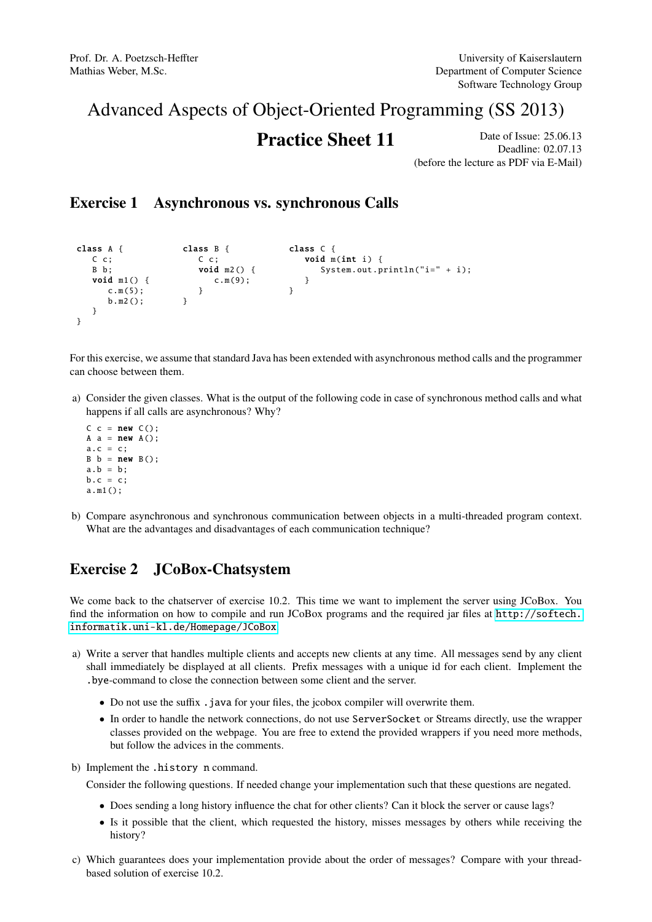# Advanced Aspects of Object-Oriented Programming (SS 2013)

## **Practice Sheet 11** Date of Issue: 25.06.13

Deadline: 02.07.13 (before the lecture as PDF via E-Mail)

#### Exercise 1 Asynchronous vs. synchronous Calls

```
class A {
  C c;
   B b;
   void m1() {
     c.m(5);
     b.m2 ();
  }
}
                   class B {
                     C_{\rm c};
                      void m2() {
                       c.m(9);
                     }
                 }
                                      class C {
                                        void m(int i) {
                                            System.out.println("i=" + i);
                                        }
                                      }
```
For this exercise, we assume that standard Java has been extended with asynchronous method calls and the programmer can choose between them.

a) Consider the given classes. What is the output of the following code in case of synchronous method calls and what happens if all calls are asynchronous? Why?

```
C \subset = new \quad C():
A a = new A();
a.c = c;B b = new B();
a.b = b;b.c = c:
a.m1 ();
```
b) Compare asynchronous and synchronous communication between objects in a multi-threaded program context. What are the advantages and disadvantages of each communication technique?

### Exercise 2 JCoBox-Chatsystem

We come back to the chatserver of exercise 10.2. This time we want to implement the server using JCoBox. You find the information on how to compile and run JCoBox programs and the required jar files at [http://softech.](http://softech.informatik.uni-kl.de/Homepage/JCoBox) [informatik.uni-kl.de/Homepage/JCoBox](http://softech.informatik.uni-kl.de/Homepage/JCoBox).

- a) Write a server that handles multiple clients and accepts new clients at any time. All messages send by any client shall immediately be displayed at all clients. Prefix messages with a unique id for each client. Implement the .bye-command to close the connection between some client and the server.
	- Do not use the suffix . java for your files, the jcobox compiler will overwrite them.
	- In order to handle the network connections, do not use ServerSocket or Streams directly, use the wrapper classes provided on the webpage. You are free to extend the provided wrappers if you need more methods, but follow the advices in the comments.
- b) Implement the .history n command.

Consider the following questions. If needed change your implementation such that these questions are negated.

- Does sending a long history influence the chat for other clients? Can it block the server or cause lags?
- Is it possible that the client, which requested the history, misses messages by others while receiving the history?
- c) Which guarantees does your implementation provide about the order of messages? Compare with your threadbased solution of exercise 10.2.